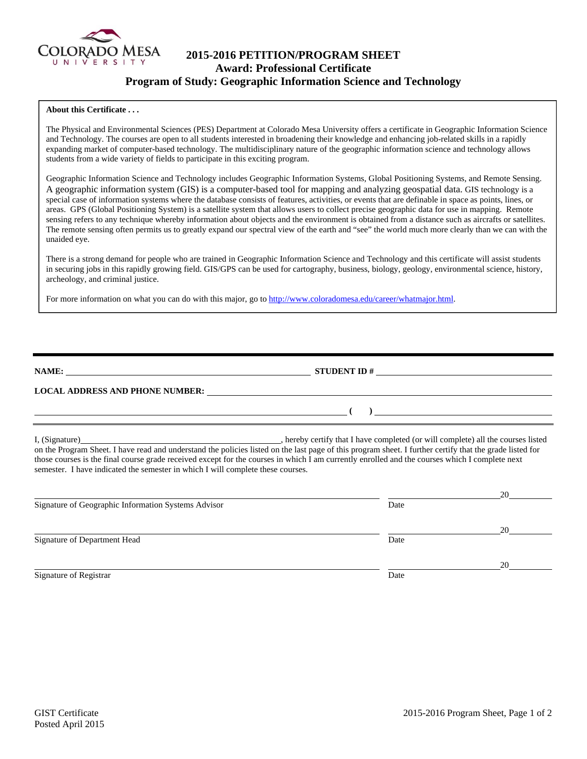

# **2015-2016 PETITION/PROGRAM SHEET Award: Professional Certificate Program of Study: Geographic Information Science and Technology**

### **About this Certificate . . .**

The Physical and Environmental Sciences (PES) Department at Colorado Mesa University offers a certificate in Geographic Information Science and Technology. The courses are open to all students interested in broadening their knowledge and enhancing job-related skills in a rapidly expanding market of computer-based technology. The multidisciplinary nature of the geographic information science and technology allows students from a wide variety of fields to participate in this exciting program.

Geographic Information Science and Technology includes Geographic Information Systems, Global Positioning Systems, and Remote Sensing. A geographic information system (GIS) is a computer-based tool for mapping and analyzing geospatial data. GIS technology is a special case of information systems where the database consists of features, activities, or events that are definable in space as points, lines, or areas. GPS (Global Positioning System) is a satellite system that allows users to collect precise geographic data for use in mapping. Remote sensing refers to any technique whereby information about objects and the environment is obtained from a distance such as aircrafts or satellites. The remote sensing often permits us to greatly expand our spectral view of the earth and "see" the world much more clearly than we can with the unaided eye.

There is a strong demand for people who are trained in Geographic Information Science and Technology and this certificate will assist students in securing jobs in this rapidly growing field. GIS/GPS can be used for cartography, business, biology, geology, environmental science, history, archeology, and criminal justice.

For more information on what you can do with this major, go to http://www.coloradomesa.edu/career/whatmajor.html.

**NAME: STUDENT ID #** 

 $($   $)$   $)$ 

**LOCAL ADDRESS AND PHONE NUMBER:**

I, (Signature) , hereby certify that I have completed (or will complete) all the courses listed on the Program Sheet. I have read and understand the policies listed on the last page of this program sheet. I further certify that the grade listed for those courses is the final course grade received except for the courses in which I am currently enrolled and the courses which I complete next semester. I have indicated the semester in which I will complete these courses.

|                                                     |      | 20 |
|-----------------------------------------------------|------|----|
| Signature of Geographic Information Systems Advisor | Date |    |
|                                                     |      | 20 |
| Signature of Department Head                        | Date |    |
|                                                     |      | 20 |
| Signature of Registrar                              | Date |    |